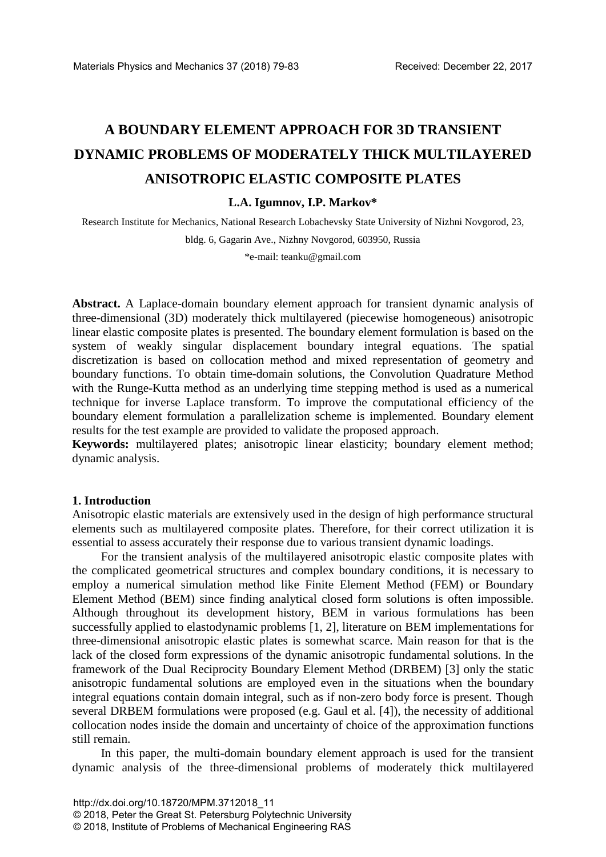# **A BOUNDARY ELEMENT APPROACH FOR 3D TRANSIENT DYNAMIC PROBLEMS OF MODERATELY THICK MULTILAYERED ANISOTROPIC ELASTIC COMPOSITE PLATES**

#### **L.A. Igumnov, I.P. Markov\***

Research Institute for Mechanics, National Research Lobachevsky State University of Nizhni Novgorod, 23,

bldg. 6, Gagarin Ave., Nizhny Novgorod, 603950, Russia

\*e-mail: teanku@gmail.com

**Abstract.** A Laplace-domain boundary element approach for transient dynamic analysis of three-dimensional (3D) moderately thick multilayered (piecewise homogeneous) anisotropic linear elastic composite plates is presented. The boundary element formulation is based on the system of weakly singular displacement boundary integral equations. The spatial discretization is based on collocation method and mixed representation of geometry and boundary functions. To obtain time-domain solutions, the Convolution Quadrature Method with the Runge-Kutta method as an underlying time stepping method is used as a numerical technique for inverse Laplace transform. To improve the computational efficiency of the boundary element formulation a parallelization scheme is implemented. Boundary element results for the test example are provided to validate the proposed approach.

**Keywords:** multilayered plates; anisotropic linear elasticity; boundary element method; dynamic analysis.

#### **1. Introduction**

Anisotropic elastic materials are extensively used in the design of high performance structural elements such as multilayered composite plates. Therefore, for their correct utilization it is essential to assess accurately their response due to various transient dynamic loadings.

For the transient analysis of the multilayered anisotropic elastic composite plates with the complicated geometrical structures and complex boundary conditions, it is necessary to employ a numerical simulation method like Finite Element Method (FEM) or Boundary Element Method (BEM) since finding analytical closed form solutions is often impossible. Although throughout its development history, BEM in various formulations has been successfully applied to elastodynamic problems [1, 2], literature on BEM implementations for three-dimensional anisotropic elastic plates is somewhat scarce. Main reason for that is the lack of the closed form expressions of the dynamic anisotropic fundamental solutions. In the framework of the Dual Reciprocity Boundary Element Method (DRBEM) [3] only the static anisotropic fundamental solutions are employed even in the situations when the boundary integral equations contain domain integral, such as if non-zero body force is present. Though several DRBEM formulations were proposed (e.g. Gaul et al. [4]), the necessity of additional collocation nodes inside the domain and uncertainty of choice of the approximation functions still remain.

In this paper, the multi-domain boundary element approach is used for the transient dynamic analysis of the three-dimensional problems of moderately thick multilayered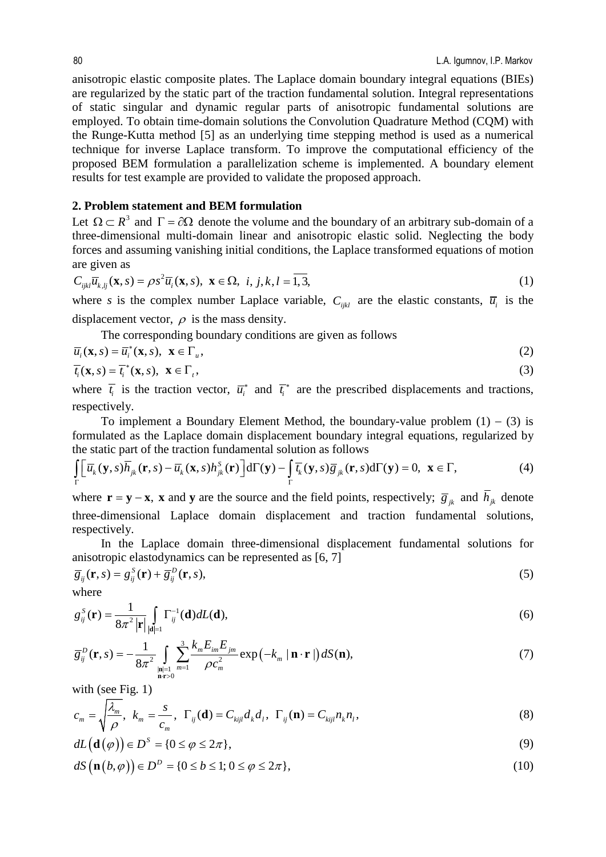anisotropic elastic composite plates. The Laplace domain boundary integral equations (BIEs) are regularized by the static part of the traction fundamental solution. Integral representations of static singular and dynamic regular parts of anisotropic fundamental solutions are employed. To obtain time-domain solutions the Convolution Quadrature Method (CQM) with the Runge-Kutta method [5] as an underlying time stepping method is used as a numerical technique for inverse Laplace transform. To improve the computational efficiency of the proposed BEM formulation a parallelization scheme is implemented. A boundary element results for test example are provided to validate the proposed approach.

## **2. Problem statement and BEM formulation**

Let  $\Omega \subset R^3$  and  $\Gamma = \partial \Omega$  denote the volume and the boundary of an arbitrary sub-domain of a three-dimensional multi-domain linear and anisotropic elastic solid. Neglecting the body forces and assuming vanishing initial conditions, the Laplace transformed equations of motion are given as

$$
C_{ijkl}\overline{u}_{k,lj}(\mathbf{x},s) = \rho s^2 \overline{u}_i(\mathbf{x},s), \ \mathbf{x} \in \Omega, \ \ i, j, k, l = \overline{1,3}, \tag{1}
$$

where *s* is the complex number Laplace variable,  $C_{ijkl}$  are the elastic constants,  $\overline{u_i}$  is the displacement vector,  $\rho$  is the mass density.

The corresponding boundary conditions are given as follows

$$
\overline{u}_i(\mathbf{x},s) = \overline{u}_i^*(\mathbf{x},s), \ \mathbf{x} \in \Gamma_u,\tag{2}
$$

$$
\overline{t_i}(\mathbf{x},s) = \overline{t_i}^*(\mathbf{x},s), \ \mathbf{x} \in \Gamma_t,\tag{3}
$$

where  $\overline{t}_i$  is the traction vector,  $\overline{u}_i^*$  and  $\overline{t}_i^*$  are the prescribed displacements and tractions, respectively.

To implement a Boundary Element Method, the boundary-value problem  $(1) - (3)$  is formulated as the Laplace domain displacement boundary integral equations, regularized by the static part of the traction fundamental solution as follows

$$
\int_{\Gamma} \left[ \overline{u}_{k}(\mathbf{y}, s) \overline{h}_{jk}(\mathbf{r}, s) - \overline{u}_{k}(\mathbf{x}, s) h_{jk}^{S}(\mathbf{r}) \right] d\Gamma(\mathbf{y}) - \int_{\Gamma} \overline{t}_{k}(\mathbf{y}, s) \overline{g}_{jk}(\mathbf{r}, s) d\Gamma(\mathbf{y}) = 0, \mathbf{x} \in \Gamma,
$$
\n(4)

where  $\mathbf{r} = \mathbf{y} - \mathbf{x}$ , **x** and **y** are the source and the field points, respectively;  $\overline{g}_{jk}$  and  $\overline{h}_{jk}$  denote three-dimensional Laplace domain displacement and traction fundamental solutions, respectively.

In the Laplace domain three-dimensional displacement fundamental solutions for anisotropic elastodynamics can be represented as [6, 7]

$$
\overline{g}_{ij}(\mathbf{r},s) = g_{ij}^{S}(\mathbf{r}) + \overline{g}_{ij}^{D}(\mathbf{r},s),
$$
\n(5)

where

$$
g_{ij}^{S}(\mathbf{r}) = \frac{1}{8\pi^2 |\mathbf{r}|} \int_{|\mathbf{d}|=1} \Gamma_{ij}^{-1}(\mathbf{d}) dL(\mathbf{d}),
$$
\n(6)

$$
\overline{g}_{ij}^{D}(\mathbf{r},s) = -\frac{1}{8\pi^2} \int_{\substack{|\mathbf{n}|=1\\ \mathbf{n} \cdot r>0}} \sum_{m=1}^{3} \frac{k_m E_{im} E_{jm}}{\rho c_m^2} \exp\left(-k_m |\mathbf{n} \cdot \mathbf{r}| \right) dS(\mathbf{n}),\tag{7}
$$

with (see Fig. 1)

$$
c_m = \sqrt{\frac{\lambda_m}{\rho}}, \ k_m = \frac{s}{c_m}, \ \Gamma_{ij}(\mathbf{d}) = C_{kijl} d_k d_l, \ \Gamma_{ij}(\mathbf{n}) = C_{kijl} n_k n_l,
$$
\n(8)

$$
dL(\mathbf{d}(\varphi)) \in D^{S} = \{0 \le \varphi \le 2\pi\},\tag{9}
$$

$$
dS\left(\mathbf{n}(b,\varphi)\right) \in D^{D} = \{0 \le b \le 1; 0 \le \varphi \le 2\pi\},\tag{10}
$$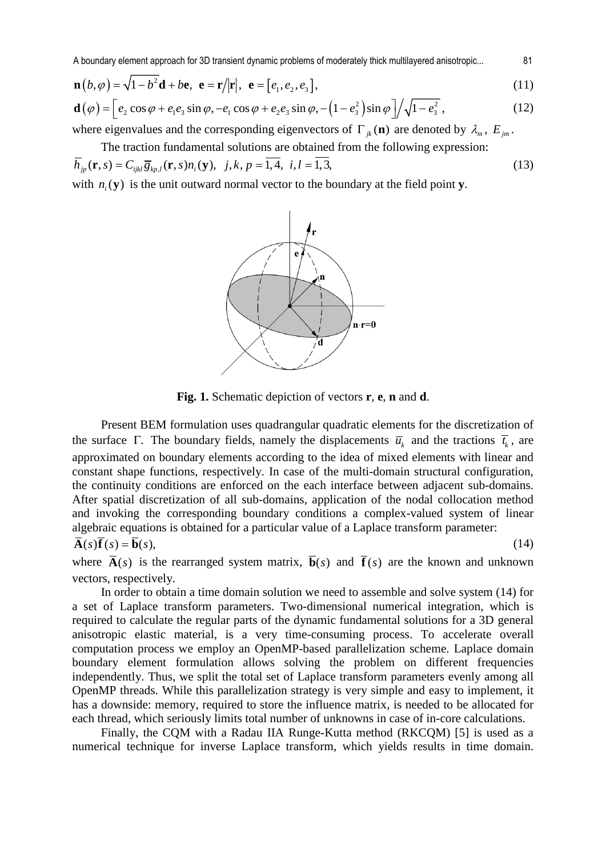A boundary element approach for 3D transient dynamic problems of moderately thick multilayered anisotropic... 81

$$
\mathbf{n}(b,\varphi) = \sqrt{1-b^2}\mathbf{d} + b\mathbf{e}, \ \mathbf{e} = \mathbf{r}/|\mathbf{r}|, \ \mathbf{e} = [e_1, e_2, e_3],
$$
\n(11)

$$
\mathbf{d}(\varphi) = \left[ e_2 \cos \varphi + e_1 e_3 \sin \varphi, -e_1 \cos \varphi + e_2 e_3 \sin \varphi, -\left( 1 - e_3^2 \right) \sin \varphi \right] / \sqrt{1 - e_3^2},\tag{12}
$$

where eigenvalues and the corresponding eigenvectors of  $\Gamma_{ik}(\mathbf{n})$  are denoted by  $\lambda_m$ ,  $E_{im}$ .

The traction fundamental solutions are obtained from the following expression:

$$
\overline{h}_{jp}(\mathbf{r},s) = C_{ijkl} \overline{g}_{kp,l}(\mathbf{r},s) n_i(\mathbf{y}), \ \ j,k, p = \overline{1,4}, \ \ i,l = \overline{1,3}, \tag{13}
$$

with  $n(\mathbf{v})$  is the unit outward normal vector to the boundary at the field point **y**.



**Fig. 1.** Schematic depiction of vectors **r**, **e**, **n** and **d**.

Present BEM formulation uses quadrangular quadratic elements for the discretization of the surface Γ. The boundary fields, namely the displacements  $\overline{u}_k$  and the tractions  $\overline{t}_k$ , are approximated on boundary elements according to the idea of mixed elements with linear and constant shape functions, respectively. In case of the multi-domain structural configuration, the continuity conditions are enforced on the each interface between adjacent sub-domains. After spatial discretization of all sub-domains, application of the nodal collocation method and invoking the corresponding boundary conditions a complex-valued system of linear algebraic equations is obtained for a particular value of a Laplace transform parameter:

$$
\overline{\mathbf{A}}(s)\overline{\mathbf{f}}(s) = \overline{\mathbf{b}}(s),\tag{14}
$$

where  $\overline{A}(s)$  is the rearranged system matrix,  $\overline{b}(s)$  and  $\overline{f}(s)$  are the known and unknown vectors, respectively.

In order to obtain a time domain solution we need to assemble and solve system (14) for a set of Laplace transform parameters. Two-dimensional numerical integration, which is required to calculate the regular parts of the dynamic fundamental solutions for a 3D general anisotropic elastic material, is a very time-consuming process. To accelerate overall computation process we employ an OpenMP-based parallelization scheme. Laplace domain boundary element formulation allows solving the problem on different frequencies independently. Thus, we split the total set of Laplace transform parameters evenly among all OpenMP threads. While this parallelization strategy is very simple and easy to implement, it has a downside: memory, required to store the influence matrix, is needed to be allocated for each thread, which seriously limits total number of unknowns in case of in-core calculations.

Finally, the CQM with a Radau IIA Runge-Kutta method (RKCQM) [5] is used as a numerical technique for inverse Laplace transform, which yields results in time domain.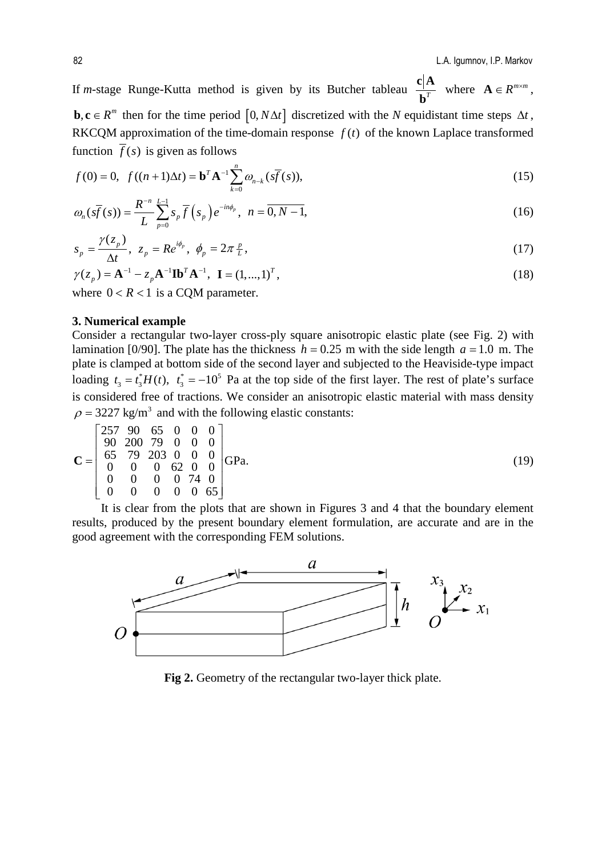If *m*-stage Runge-Kutta method is given by its Butcher tableau  $\frac{1}{h^{7}}$  $c|A$ **b** where  $\mathbf{A} \in \mathbb{R}^{m \times m}$ , **b**,  $\mathbf{c} \in R^m$  then for the time period  $[0, N\Delta t]$  discretized with the *N* equidistant time steps  $\Delta t$ , RKCQM approximation of the time-domain response  $f(t)$  of the known Laplace transformed function  $\overline{f}(s)$  is given as follows

$$
f(0) = 0, \ f((n+1)\Delta t) = \mathbf{b}^T \mathbf{A}^{-1} \sum_{k=0}^n \omega_{n-k} (\bar{s}(\bar{f}(s))), \tag{15}
$$

$$
\omega_n(s\overline{f}(s)) = \frac{R^{-n}}{L} \sum_{p=0}^{L-1} s_p \overline{f}(s_p) e^{-in\phi_p}, \ \ n = \overline{0, N-1}, \tag{16}
$$

$$
s_p = \frac{\gamma(z_p)}{\Delta t}, \ z_p = Re^{i\phi_p}, \ \phi_p = 2\pi \frac{p}{L}, \tag{17}
$$

$$
\gamma(z_p) = \mathbf{A}^{-1} - z_p \mathbf{A}^{-1} \mathbf{I} \mathbf{b}^T \mathbf{A}^{-1}, \ \mathbf{I} = (1, ..., 1)^T,
$$
\nwhere  $0 < R < 1$  is a COM parameter.

where  $0 < R < 1$  is a CQM parameter.

## **3. Numerical example**

Consider a rectangular two-layer cross-ply square anisotropic elastic plate (see Fig. 2) with lamination [0/90]. The plate has the thickness  $h = 0.25$  m with the side length  $a = 1.0$  m. The plate is clamped at bottom side of the second layer and subjected to the Heaviside-type impact loading  $t_3 = t_3^* H(t)$ ,  $t_3^* = -10^5$  Pa at the top side of the first layer. The rest of plate's surface is considered free of tractions. We consider an anisotropic elastic material with mass density  $\rho = 3227 \text{ kg/m}^3$  and with the following elastic constants:

$$
\mathbf{C} = \begin{bmatrix} 257 & 90 & 65 & 0 & 0 & 0 \\ 90 & 200 & 79 & 0 & 0 & 0 \\ 65 & 79 & 203 & 0 & 0 & 0 \\ 0 & 0 & 0 & 62 & 0 & 0 \\ 0 & 0 & 0 & 0 & 74 & 0 \\ 0 & 0 & 0 & 0 & 0 & 65 \end{bmatrix} \text{GPa.}
$$
\n(19)

It is clear from the plots that are shown in Figures 3 and 4 that the boundary element results, produced by the present boundary element formulation, are accurate and are in the good agreement with the corresponding FEM solutions.



**Fig 2.** Geometry of the rectangular two-layer thick plate.